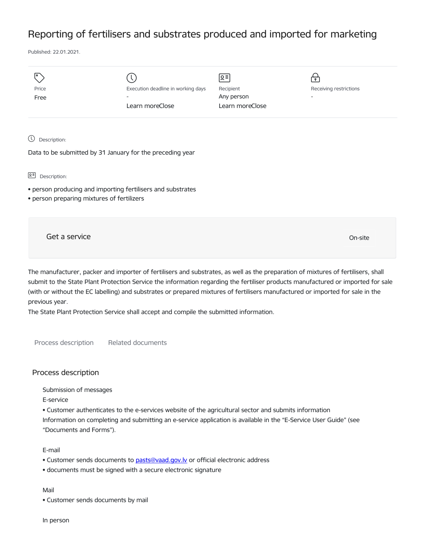## Reporting of fertilisers and substrates produced and imported for marketing

Published: 22.01.2021.

| Price<br>Free                                                             | Execution deadline in working days<br>Learn moreClose       | ∣়≅ <br>Recipient<br>Any person<br>Learn moreClose | $\mathbf{P}$<br>Receiving restrictions |
|---------------------------------------------------------------------------|-------------------------------------------------------------|----------------------------------------------------|----------------------------------------|
| $\circledcirc$<br>Description:                                            | Data to be submitted by 31 January for the preceding year   |                                                    |                                        |
| 요 <sup>리</sup> Description:<br>· person preparing mixtures of fertilizers | • person producing and importing fertilisers and substrates |                                                    |                                        |
| Get a service                                                             |                                                             |                                                    | On-site                                |

The manufacturer, packer and importer of fertilisers and substrates, as well as the preparation of mixtures of fertilisers, shall submit to the State Plant Protection Service the information regarding the fertiliser products manufactured or imported for sale (with or without the EC labelling) and substrates or prepared mixtures of fertilisers manufactured or imported for sale in the previous year.

The State Plant Protection Service shall accept and compile the submitted information.

Process description Related documents

## Process description

Submission of messages

E-service

• Customer authenticates to the e-services website of the agricultural sector and submits information Information on completing and submitting an e-service application is available in the "E-Service User Guide" (see "Documents and Forms").

## E-mail

- Customer sends documents to [pasts@vaad.gov.lv](mailto:pasts@vaad.gov.lv) or official electronic address
- documents must be signed with a secure electronic signature

## Mail

• Customer sends documents by mail

In person